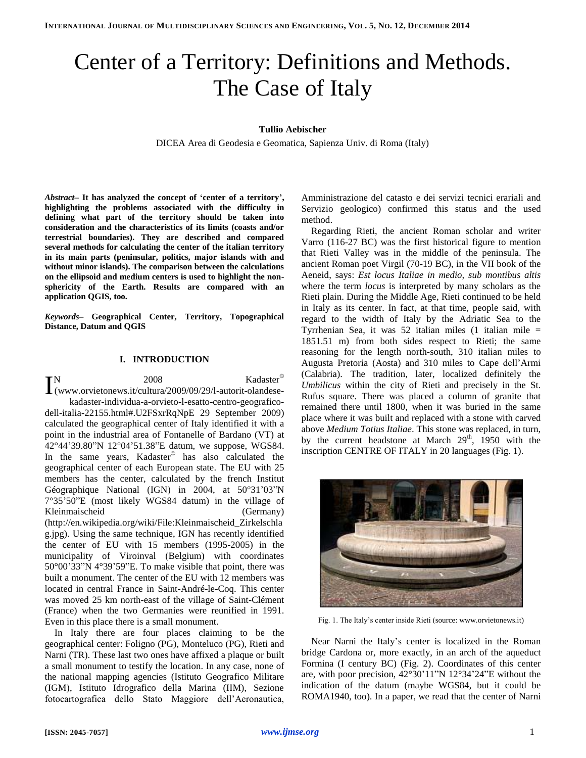# Center of a Territory: Definitions and Methods. The Case of Italy

# **Tullio Aebischer**

DICEA Area di Geodesia e Geomatica, Sapienza Univ. di Roma (Italy)

*Abstract***– It has analyzed the concept of 'center of a territory', highlighting the problems associated with the difficulty in defining what part of the territory should be taken into consideration and the characteristics of its limits (coasts and/or terrestrial boundaries). They are described and compared several methods for calculating the center of the italian territory in its main parts (peninsular, politics, major islands with and without minor islands). The comparison between the calculations on the ellipsoid and medium centers is used to highlight the nonsphericity of the Earth. Results are compared with an application QGIS, too.**

*Keywords***– Geographical Center, Territory, Topographical Distance, Datum and QGIS**

# **I. INTRODUCTION**

N 2008 Kadaster<sup>©</sup>  $\begin{array}{ll} \displaystyle \prod_{\text{(www.orvietonews.it/cultura/2009/09/29/l-autorit-olandese-}} \hspace{8.2cm} \text{Kadaster}^{\odot} \end{array}$ kadaster-individua-a-orvieto-l-esatto-centro-geograficodell-italia-22155.html#.U2FSxrRqNpE 29 September 2009) calculated the geographical center of Italy identified it with a point in the industrial area of Fontanelle of Bardano (VT) at 42°44'39.80"N 12°04'51.38"E datum, we suppose, WGS84. In the same years, Kadaster<sup>©</sup> has also calculated the geographical center of each European state. The EU with 25 members has the center, calculated by the french Institut Géographique National (IGN) in 2004, at 50°31'03"N 7°35'50"E (most likely WGS84 datum) in the village of Kleinmaischeid (Germany) (http://en.wikipedia.org/wiki/File:Kleinmaischeid\_Zirkelschla g.jpg). Using the same technique, IGN has recently identified the center of EU with 15 members (1995-2005) in the municipality of Viroinval (Belgium) with coordinates 50°00'33"N 4°39'59"E. To make visible that point, there was built a monument. The center of the EU with 12 members was located in central France in Saint-André-le-Coq. This center was moved 25 km north-east of the village of Saint-Clément (France) when the two Germanies were reunified in 1991. Even in this place there is a small monument.

In Italy there are four places claiming to be the geographical center: Foligno (PG), Monteluco (PG), Rieti and Narni (TR). These last two ones have affixed a plaque or built a small monument to testify the location. In any case, none of the national mapping agencies (Istituto Geografico Militare (IGM), Istituto Idrografico della Marina (IIM), Sezione fotocartografica dello Stato Maggiore dell'Aeronautica,

Amministrazione del catasto e dei servizi tecnici erariali and Servizio geologico) confirmed this status and the used method.

Regarding Rieti, the ancient Roman scholar and writer Varro (116-27 BC) was the first historical figure to mention that Rieti Valley was in the middle of the peninsula. The ancient Roman poet Virgil (70-19 BC), in the VII book of the Aeneid, says: *Est locus Italiae in medio, sub montibus altis* where the term *locus* is interpreted by many scholars as the Rieti plain. During the Middle Age, Rieti continued to be held in Italy as its center. In fact, at that time, people said, with regard to the width of Italy by the Adriatic Sea to the Tyrrhenian Sea, it was 52 italian miles (1 italian mile = 1851.51 m) from both sides respect to Rieti; the same reasoning for the length north-south, 310 italian miles to Augusta Pretoria (Aosta) and 310 miles to Cape dell'Armi (Calabria). The tradition, later, localized definitely the *Umbilicus* within the city of Rieti and precisely in the St. Rufus square. There was placed a column of granite that remained there until 1800, when it was buried in the same place where it was built and replaced with a stone with carved above *Medium Totius Italiae*. This stone was replaced, in turn, by the current headstone at March  $29<sup>th</sup>$ , 1950 with the inscription CENTRE OF ITALY in 20 languages (Fig. 1).



Fig. 1. The Italy's center inside Rieti (source: www.orvietonews.it)

Near Narni the Italy's center is localized in the Roman bridge Cardona or, more exactly, in an arch of the aqueduct Formina (I century BC) (Fig. 2). Coordinates of this center are, with poor precision, 42°30'11"N 12°34'24"E without the indication of the datum (maybe WGS84, but it could be ROMA1940, too). In a paper, we read that the center of Narni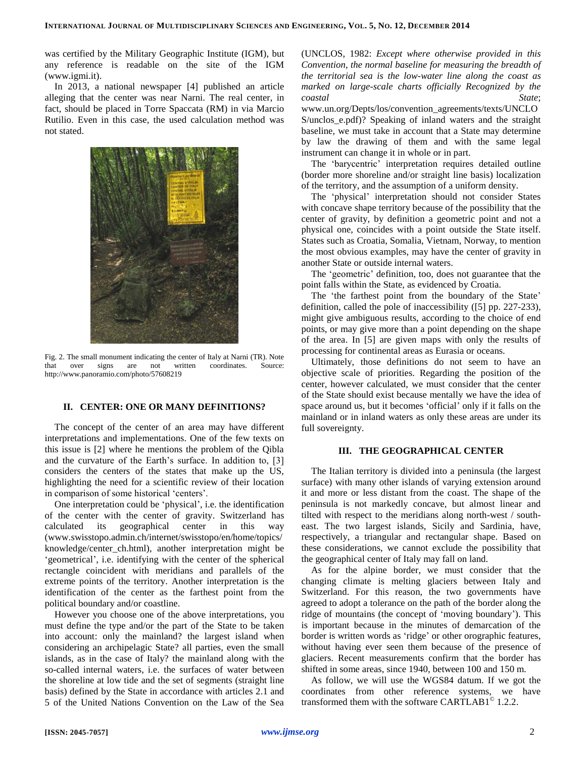was certified by the Military Geographic Institute (IGM), but any reference is readable on the site of the IGM (www.igmi.it).

In 2013, a national newspaper [4] published an article alleging that the center was near Narni. The real center, in fact, should be placed in Torre Spaccata (RM) in via Marcio Rutilio. Even in this case, the used calculation method was not stated.



Fig. 2. The small monument indicating the center of Italy at Narni (TR). Note that over signs are not written coordinates. Source: http://www.panoramio.com/photo/57608219

# **II. CENTER: ONE OR MANY DEFINITIONS?**

The concept of the center of an area may have different interpretations and implementations. One of the few texts on this issue is [2] where he mentions the problem of the Qibla and the curvature of the Earth's surface. In addition to, [3] considers the centers of the states that make up the US, highlighting the need for a scientific review of their location in comparison of some historical 'centers'.

One interpretation could be 'physical', i.e. the identification of the center with the center of gravity. Switzerland has calculated its geographical center in this way (www.swisstopo.admin.ch/internet/swisstopo/en/home/topics/ knowledge/center\_ch.html), another interpretation might be 'geometrical', i.e. identifying with the center of the spherical rectangle coincident with meridians and parallels of the extreme points of the territory. Another interpretation is the identification of the center as the farthest point from the political boundary and/or coastline.

However you choose one of the above interpretations, you must define the type and/or the part of the State to be taken into account: only the mainland? the largest island when considering an archipelagic State? all parties, even the small islands, as in the case of Italy? the mainland along with the so-called internal waters, i.e. the surfaces of water between the shoreline at low tide and the set of segments (straight line basis) defined by the State in accordance with articles 2.1 and 5 of the United Nations Convention on the Law of the Sea (UNCLOS, 1982: *Except where otherwise provided in this Convention, the normal baseline for measuring the breadth of the territorial sea is the low-water line along the coast as marked on large-scale charts officially Recognized by the coastal State*;

www.un.org/Depts/los/convention\_agreements/texts/UNCLO S/unclos\_e.pdf)? Speaking of inland waters and the straight baseline, we must take in account that a State may determine by law the drawing of them and with the same legal instrument can change it in whole or in part.

The 'barycentric' interpretation requires detailed outline (border more shoreline and/or straight line basis) localization of the territory, and the assumption of a uniform density.

The 'physical' interpretation should not consider States with concave shape territory because of the possibility that the center of gravity, by definition a geometric point and not a physical one, coincides with a point outside the State itself. States such as Croatia, Somalia, Vietnam, Norway, to mention the most obvious examples, may have the center of gravity in another State or outside internal waters.

The 'geometric' definition, too, does not guarantee that the point falls within the State, as evidenced by Croatia.

The 'the farthest point from the boundary of the State' definition, called the pole of inaccessibility ([5] pp. 227-233), might give ambiguous results, according to the choice of end points, or may give more than a point depending on the shape of the area. In [5] are given maps with only the results of processing for continental areas as Eurasia or oceans.

Ultimately, those definitions do not seem to have an objective scale of priorities. Regarding the position of the center, however calculated, we must consider that the center of the State should exist because mentally we have the idea of space around us, but it becomes 'official' only if it falls on the mainland or in inland waters as only these areas are under its full sovereignty.

## **III. THE GEOGRAPHICAL CENTER**

The Italian territory is divided into a peninsula (the largest surface) with many other islands of varying extension around it and more or less distant from the coast. The shape of the peninsula is not markedly concave, but almost linear and tilted with respect to the meridians along north-west / southeast. The two largest islands, Sicily and Sardinia, have, respectively, a triangular and rectangular shape. Based on these considerations, we cannot exclude the possibility that the geographical center of Italy may fall on land.

As for the alpine border, we must consider that the changing climate is melting glaciers between Italy and Switzerland. For this reason, the two governments have agreed to adopt a tolerance on the path of the border along the ridge of mountains (the concept of 'moving boundary'). This is important because in the minutes of demarcation of the border is written words as 'ridge' or other orographic features, without having ever seen them because of the presence of glaciers. Recent measurements confirm that the border has shifted in some areas, since 1940, between 100 and 150 m.

As follow, we will use the WGS84 datum. If we got the coordinates from other reference systems, we have transformed them with the software CARTLAB1 $^{\circ}$  1.2.2.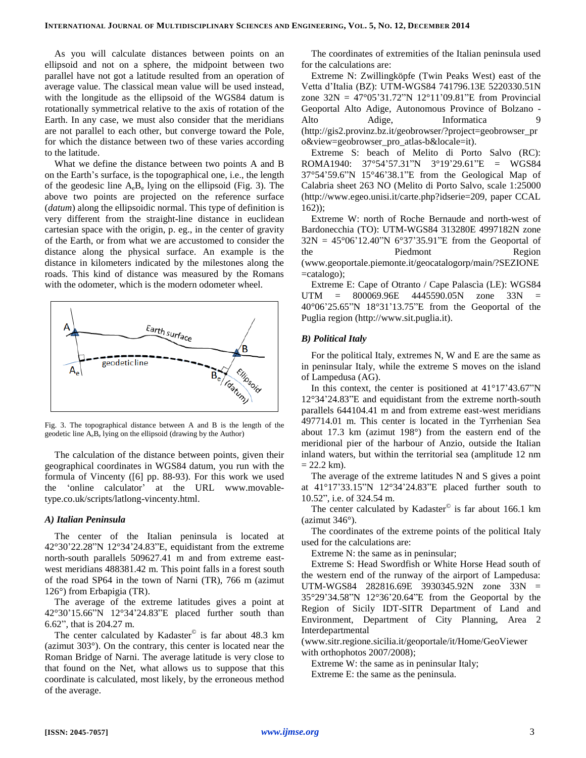As you will calculate distances between points on an ellipsoid and not on a sphere, the midpoint between two parallel have not got a latitude resulted from an operation of average value. The classical mean value will be used instead, with the longitude as the ellipsoid of the WGS84 datum is rotationally symmetrical relative to the axis of rotation of the Earth. In any case, we must also consider that the meridians are not parallel to each other, but converge toward the Pole, for which the distance between two of these varies according to the latitude.

What we define the distance between two points A and B on the Earth's surface, is the topographical one, i.e., the length of the geodesic line  $A_e B_e$  lying on the ellipsoid (Fig. 3). The above two points are projected on the reference surface (*datum*) along the ellipsoidic normal. This type of definition is very different from the straight-line distance in euclidean cartesian space with the origin, p. eg., in the center of gravity of the Earth, or from what we are accustomed to consider the distance along the physical surface. An example is the distance in kilometers indicated by the milestones along the roads. This kind of distance was measured by the Romans with the odometer, which is the modern odometer wheel.



Fig. 3. The topographical distance between A and B is the length of the geodetic line AeB<sup>e</sup> lying on the ellipsoid (drawing by the Author)

The calculation of the distance between points, given their geographical coordinates in WGS84 datum, you run with the formula of Vincenty ([6] pp. 88-93). For this work we used the 'online calculator' at the URL www.movabletype.co.uk/scripts/latlong-vincenty.html.

## *A) Italian Peninsula*

The center of the Italian peninsula is located at 42°30'22.28"N 12°34'24.83"E, equidistant from the extreme north-south parallels 509627.41 m and from extreme eastwest meridians 488381.42 m. This point falls in a forest south of the road SP64 in the town of Narni (TR), 766 m (azimut 126°) from Erbapigia (TR).

The average of the extreme latitudes gives a point at 42°30'15.66"N 12°34'24.83"E placed further south than 6.62", that is 204.27 m.

The center calculated by Kadaster<sup>©</sup> is far about 48.3 km (azimut 303°). On the contrary, this center is located near the Roman Bridge of Narni. The average latitude is very close to that found on the Net, what allows us to suppose that this coordinate is calculated, most likely, by the erroneous method of the average.

The coordinates of extremities of the Italian peninsula used for the calculations are:

Extreme N: Zwillingköpfe (Twin Peaks West) east of the Vetta d'Italia (BZ): UTM-WGS84 741796.13E 5220330.51N zone 32N = 47°05'31.72"N 12°11'09.81"E from Provincial Geoportal Alto Adige, Autonomous Province of Bolzano - Alto Adige, Informatica 9 (http://gis2.provinz.bz.it/geobrowser/?project=geobrowser\_pr o&view=geobrowser\_pro\_atlas-b&locale=it).

Extreme S: beach of Melito di Porto Salvo (RC): ROMA1940: 37°54'57.31"N 3°19'29.61"E = WGS84 37°54'59.6"N 15°46'38.1"E from the Geological Map of Calabria sheet 263 NO (Melito di Porto Salvo, scale 1:25000 (http://www.egeo.unisi.it/carte.php?idserie=209, paper CCAL 162));

Extreme W: north of Roche Bernaude and north-west of Bardonecchia (TO): UTM-WGS84 313280E 4997182N zone  $32N = 45^{\circ}06'12.40''N 6^{\circ}37'35.91''E$  from the Geoportal of the Piedmont Region (www.geoportale.piemonte.it/geocatalogorp/main/?SEZIONE =catalogo);

Extreme E: Cape of Otranto / Cape Palascìa (LE): WGS84 UTM = 800069.96E 4445590.05N zone 33N = 40°06'25.65"N 18°31'13.75"E from the Geoportal of the Puglia region (http://www.sit.puglia.it).

### *B) Political Italy*

For the political Italy, extremes N, W and E are the same as in peninsular Italy, while the extreme S moves on the island of Lampedusa (AG).

In this context, the center is positioned at  $41^{\circ}17'43.67''N$ 12°34'24.83"E and equidistant from the extreme north-south parallels 644104.41 m and from extreme east-west meridians 497714.01 m. This center is located in the Tyrrhenian Sea about 17.3 km (azimut 198°) from the eastern end of the meridional pier of the harbour of Anzio, outside the Italian inland waters, but within the territorial sea (amplitude 12 nm  $= 22.2$  km).

The average of the extreme latitudes N and S gives a point at 41°17'33.15"N 12°34'24.83"E placed further south to 10.52", i.e. of 324.54 m.

The center calculated by Kadaster $^{\circ}$  is far about 166.1 km (azimut 346°).

The coordinates of the extreme points of the political Italy used for the calculations are:

Extreme N: the same as in peninsular;

Extreme S: Head Swordfish or White Horse Head south of the western end of the runway of the airport of Lampedusa: UTM-WGS84 282816.69E 3930345.92N zone 33N = 35°29'34.58"N 12°36'20.64"E from the Geoportal by the Region of Sicily IDT-SITR Department of Land and Environment, Department of City Planning, Area 2 Interdepartmental

(www.sitr.regione.sicilia.it/geoportale/it/Home/GeoViewer with orthophotos 2007/2008);

Extreme W: the same as in peninsular Italy;

Extreme E: the same as the peninsula.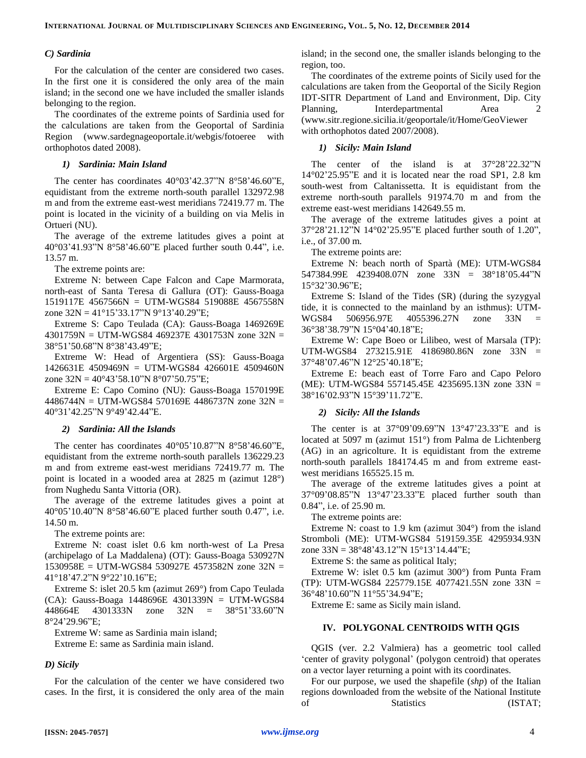## *C) Sardinia*

For the calculation of the center are considered two cases. In the first one it is considered the only area of the main island; in the second one we have included the smaller islands belonging to the region.

The coordinates of the extreme points of Sardinia used for the calculations are taken from the Geoportal of Sardinia Region (www.sardegnageoportale.it/webgis/fotoeree with orthophotos dated 2008).

## *1) Sardinia: Main Island*

The center has coordinates 40°03'42.37"N 8°58'46.60"E, equidistant from the extreme north-south parallel 132972.98 m and from the extreme east-west meridians 72419.77 m. The point is located in the vicinity of a building on via Melis in Ortueri (NU).

The average of the extreme latitudes gives a point at 40°03'41.93"N 8°58'46.60"E placed further south 0.44", i.e. 13.57 m.

The extreme points are:

Extreme N: between Cape Falcon and Cape Marmorata, north-east of Santa Teresa di Gallura (OT): Gauss-Boaga 1519117E 4567566N = UTM-WGS84 519088E 4567558N zone  $32N = 41^{\circ}15'33.17''N9^{\circ}13'40.29''E$ ;

Extreme S: Capo Teulada (CA): Gauss-Boaga 1469269E 4301759N = UTM-WGS84 469237E 4301753N zone 32N = 38°51'50.68"N 8°38'43.49"E;

Extreme W: Head of Argentiera (SS): Gauss-Boaga 1426631E 4509469N = UTM-WGS84 426601E 4509460N zone  $32N = 40^{\circ}43'58.10''N 8^{\circ}07'50.75''E$ ;

Extreme E: Capo Comino (NU): Gauss-Boaga 1570199E 4486744N = UTM-WGS84 570169E 4486737N zone 32N = 40°31'42.25"N 9°49'42.44"E.

#### *2) Sardinia: All the Islands*

The center has coordinates  $40^{\circ}05'10.87''N8°58'46.60''E$ , equidistant from the extreme north-south parallels 136229.23 m and from extreme east-west meridians 72419.77 m. The point is located in a wooded area at 2825 m (azimut 128°) from Nughedu Santa Vittoria (OR).

The average of the extreme latitudes gives a point at 40°05'10.40"N 8°58'46.60"E placed further south 0.47", i.e. 14.50 m.

The extreme points are:

Extreme N: coast islet 0.6 km north-west of La Presa (archipelago of La Maddalena) (OT): Gauss-Boaga 530927N 1530958E = UTM-WGS84 530927E 4573582N zone 32N = 41°18'47.2"N 9°22'10.16"E;

Extreme S: islet 20.5 km (azimut 269°) from Capo Teulada (CA): Gauss-Boaga 1448696E 4301339N = UTM-WGS84 448664E 4301333N zone 32N = 38°51'33.60"N 8°24'29.96"E;

Extreme W: same as Sardinia main island;

Extreme E: same as Sardinia main island.

## *D) Sicily*

For the calculation of the center we have considered two cases. In the first, it is considered the only area of the main island; in the second one, the smaller islands belonging to the region, too.

The coordinates of the extreme points of Sicily used for the calculations are taken from the Geoportal of the Sicily Region IDT-SITR Department of Land and Environment, Dip. City Planning, Interdepartmental Area 2 (www.sitr.regione.sicilia.it/geoportale/it/Home/GeoViewer with orthophotos dated 2007/2008).

## *1) Sicily: Main Island*

The center of the island is at 37°28'22.32"N 14°02'25.95"E and it is located near the road SP1, 2.8 km south-west from Caltanissetta. It is equidistant from the extreme north-south parallels 91974.70 m and from the extreme east-west meridians 142649.55 m.

The average of the extreme latitudes gives a point at 37°28'21.12"N 14°02'25.95"E placed further south of 1.20", i.e., of 37.00 m.

The extreme points are:

Extreme N: beach north of Spartà (ME): UTM-WGS84 547384.99E 4239408.07N zone 33N = 38°18'05.44"N 15°32'30.96"E;

Extreme S: Island of the Tides (SR) (during the syzygyal tide, it is connected to the mainland by an isthmus): UTM-WGS84 506956.97E 4055396.27N zone 33N = 36°38'38.79"N 15°04'40.18"E;

Extreme W: Cape Boeo or Lilibeo, west of Marsala (TP): UTM-WGS84 273215.91E 4186980.86N zone 33N = 37°48'07.46"N 12°25'40.18"E;

Extreme E: beach east of Torre Faro and Capo Peloro (ME): UTM-WGS84 557145.45E 4235695.13N zone 33N = 38°16'02.93"N 15°39'11.72"E.

## *2) Sicily: All the Islands*

The center is at 37°09'09.69"N 13°47'23.33"E and is located at 5097 m (azimut 151°) from Palma de Lichtenberg (AG) in an agricolture. It is equidistant from the extreme north-south parallels 184174.45 m and from extreme eastwest meridians 165525.15 m.

The average of the extreme latitudes gives a point at 37°09'08.85"N 13°47'23.33"E placed further south than 0.84", i.e. of 25.90 m.

The extreme points are:

Extreme N: coast to 1.9 km (azimut 304°) from the island Stromboli (ME): UTM-WGS84 519159.35E 4295934.93N zone 33N = 38°48'43.12"N 15°13'14.44"E;

Extreme S: the same as political Italy;

Extreme W: islet 0.5 km (azimut 300°) from Punta Fram (TP): UTM-WGS84 225779.15E 4077421.55N zone 33N = 36°48'10.60"N 11°55'34.94"E;

Extreme E: same as Sicily main island.

## **IV. POLYGONAL CENTROIDS WITH QGIS**

QGIS (ver. 2.2 Valmiera) has a geometric tool called 'center of gravity polygonal' (polygon centroid) that operates on a vector layer returning a point with its coordinates.

For our purpose, we used the shapefile (*shp*) of the Italian regions downloaded from the website of the National Institute of Statistics (ISTAT;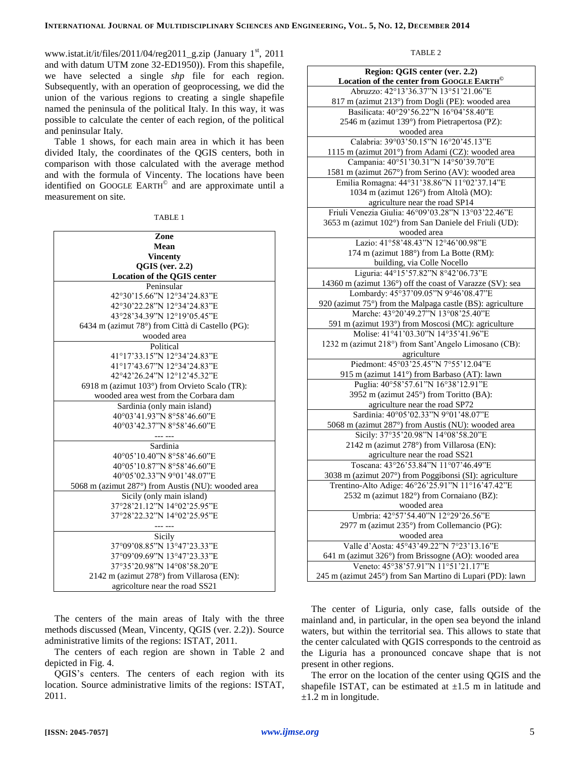www.istat.it/it/files/2011/04/reg2011\_g.zip (January 1<sup>st</sup>, 2011 and with datum UTM zone 32-ED1950)). From this shapefile, we have selected a single *shp* file for each region. Subsequently, with an operation of geoprocessing, we did the union of the various regions to creating a single shapefile named the peninsula of the political Italy. In this way, it was possible to calculate the center of each region, of the political and peninsular Italy.

Table 1 shows, for each main area in which it has been divided Italy, the coordinates of the QGIS centers, both in comparison with those calculated with the average method and with the formula of Vincenty. The locations have been identified on GOOGLE EARTH<sup>®</sup> and are approximate until a measurement on site.

| Zone                                               |
|----------------------------------------------------|
| Mean                                               |
| <b>Vincenty</b>                                    |
| $QGIS$ (ver. 2.2)                                  |
| <b>Location of the QGIS center</b>                 |
| Peninsular                                         |
| 42°30'15.66"N 12°34'24.83"E                        |
| 42°30'22.28"N 12°34'24.83"E                        |
| 43°28'34.39"N 12°19'05.45"E                        |
| 6434 m (azimut 78°) from Città di Castello (PG):   |
| wooded area                                        |
| Political                                          |
| 41°17'33.15"N 12°34'24.83"E                        |
| 41°17'43.67"N 12°34'24.83"E                        |
| 42°42'26.24"N 12°12'45.32"E                        |
| 6918 m (azimut 103°) from Orvieto Scalo (TR):      |
| wooded area west from the Corbara dam              |
| Sardinia (only main island)                        |
| 40°03'41.93"N 8°58'46.60"E                         |
| 40°03'42.37"N 8°58'46.60"E                         |
|                                                    |
| Sardinia                                           |
| 40°05'10.40"N 8°58'46.60"E                         |
| 40°05'10.87"N 8°58'46.60"E                         |
| 40°05'02.33"N 9°01'48.07"E                         |
| 5068 m (azimut 287°) from Austis (NU): wooded area |
| Sicily (only main island)                          |
| 37°28'21.12"N 14°02'25.95"E                        |
| 37°28'22.32"N 14°02'25.95"E                        |
|                                                    |
| Sicily                                             |
| 37°09'08.85"N 13°47'23.33"E                        |
| 37°09'09.69"N 13°47'23.33"E                        |
| 37°35'20.98"N 14°08'58.20"E                        |
| 2142 m (azimut 278°) from Villarosa (EN):          |
| agricolture near the road SS21                     |

The centers of the main areas of Italy with the three methods discussed (Mean, Vincenty, QGIS (ver. 2.2)). Source administrative limits of the regions: ISTAT, 2011.

The centers of each region are shown in Table 2 and depicted in Fig. 4.

QGIS's centers. The centers of each region with its location. Source administrative limits of the regions: ISTAT, 2011.

#### TABLE 2

| Region: QGIS center (ver. 2.2)                                                                |
|-----------------------------------------------------------------------------------------------|
| Location of the center from GOOGLE EARTH <sup>©</sup><br>Abruzzo: 42°13'36.37"N 13°51'21.06"E |
|                                                                                               |
| 817 m (azimut 213°) from Dogli (PE): wooded area<br>Basilicata: 40°29'56.22"N 16°04'58.40"E   |
| 2546 m (azimut 139°) from Pietrapertosa (PZ):                                                 |
| wooded area                                                                                   |
| Calabria: 39°03'50.15"N 16°20'45.13"E                                                         |
| 1115 m (azimut 201°) from Adami (CZ): wooded area                                             |
| Campania: 40°51'30.31"N 14°50'39.70"E                                                         |
| 1581 m (azimut 267°) from Serino (AV): wooded area                                            |
| Emilia Romagna: 44°31'38.86"N 11°02'37.14"E                                                   |
| 1034 m (azimut 126°) from Altolà (MO):                                                        |
| agriculture near the road SP14                                                                |
| Friuli Venezia Giulia: 46°09'03.28"N 13°03'22.46"E                                            |
| 3653 m (azimut 102°) from San Daniele del Friuli (UD):                                        |
| wooded area                                                                                   |
| Lazio: 41°58'48.43"N 12°46'00.98"E                                                            |
| 174 m (azimut 188°) from La Botte (RM):                                                       |
| building, via Colle Nocello                                                                   |
| Liguria: 44°15'57.82"N 8°42'06.73"E                                                           |
| 14360 m (azimut 136°) off the coast of Varazze (SV): sea                                      |
| Lombardy: 45°37'09.05"N 9°46'08.47"E                                                          |
| 920 (azimut 75°) from the Malpaga castle (BS): agriculture                                    |
| Marche: 43°20'49.27"N 13°08'25.40"E                                                           |
| 591 m (azimut 193°) from Moscosi (MC): agriculture                                            |
| Molise: 41°41'03.30"N 14°35'41.96"E                                                           |
| 1232 m (azimut 218°) from Sant'Angelo Limosano (CB):                                          |
| agriculture                                                                                   |
| Piedmont: 45°03'25.45"N 7°55'12.04"E                                                          |
| 915 m (azimut 141°) from Barbaso (AT): lawn                                                   |
| Puglia: 40°58'57.61"N 16°38'12.91"E                                                           |
| 3952 m (azimut 245°) from Toritto (BA):                                                       |
| agriculture near the road SP72                                                                |
| Sardinia: 40°05'02.33"N 9°01'48.07"E                                                          |
| 5068 m (azimut 287°) from Austis (NU): wooded area                                            |
| Sicily: 37°35'20.98"N 14°08'58.20"E                                                           |
| 2142 m (azimut 278°) from Villarosa (EN):                                                     |
| agriculture near the road SS21                                                                |
| Toscana: 43°26'53.84"N 11°07'46.49"E                                                          |
| 3038 m (azimut 207°) from Poggibonsi (SI): agriculture                                        |
| Trentino-Alto Adige: 46°26'25.91"N 11°16'47.42"E                                              |
| 2532 m (azimut 182°) from Cornaiano (BZ):                                                     |
| wooded area                                                                                   |
| Umbria: 42°57'54.40"N 12°29'26.56"E                                                           |
| 2977 m (azimut 235°) from Collemancio (PG):                                                   |
| wooded area                                                                                   |
| Valle d'Aosta: 45°43'49.22"N 7°23'13.16"E                                                     |
| 641 m (azimut 326°) from Brissogne (AO): wooded area                                          |
| Veneto: 45°38'57.91"N 11°51'21.17"E                                                           |
| 245 m (azimut 245°) from San Martino di Lupari (PD): lawn                                     |

The center of Liguria, only case, falls outside of the mainland and, in particular, in the open sea beyond the inland waters, but within the territorial sea. This allows to state that the center calculated with QGIS corresponds to the centroid as the Liguria has a pronounced concave shape that is not present in other regions.

The error on the location of the center using QGIS and the shapefile ISTAT, can be estimated at  $\pm 1.5$  m in latitude and  $\pm 1.2$  m in longitude.